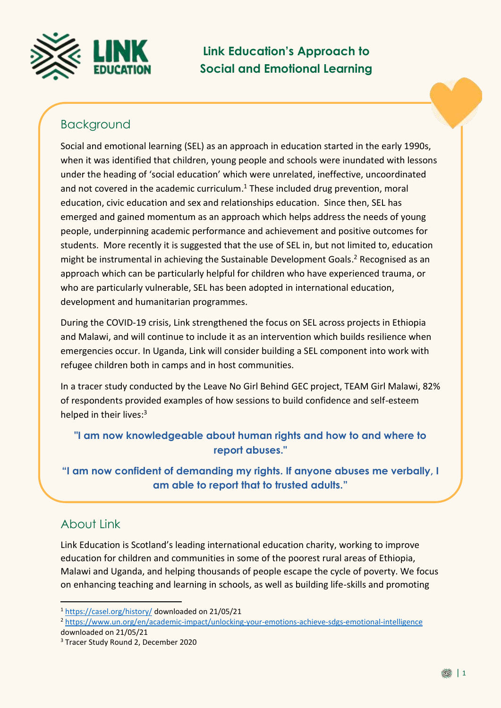

**Link Education's Approach to Social and Emotional Learning**

# Background

Social and emotional learning (SEL) as an approach in education started in the early 1990s, when it was identified that children, young people and schools were inundated with lessons under the heading of 'social education' which were unrelated, ineffective, uncoordinated and not covered in the academic curriculum. <sup>1</sup> These included drug prevention, moral education, civic education and sex and relationships education. Since then, SEL has emerged and gained momentum as an approach which helps address the needs of young people, underpinning academic performance and achievement and positive outcomes for students. More recently it is suggested that the use of SEL in, but not limited to, education might be instrumental in achieving the Sustainable Development Goals. <sup>2</sup> Recognised as an approach which can be particularly helpful for children who have experienced trauma, or who are particularly vulnerable, SEL has been adopted in international education, development and humanitarian programmes.

During the COVID-19 crisis, Link strengthened the focus on SEL across projects in Ethiopia and Malawi, and will continue to include it as an intervention which builds resilience when emergencies occur. In Uganda, Link will consider building a SEL component into work with refugee children both in camps and in host communities.

In a tracer study conducted by the Leave No Girl Behind GEC project, TEAM Girl Malawi, 82% of respondents provided examples of how sessions to build confidence and self-esteem helped in their lives:<sup>3</sup>

### **"I am now knowledgeable about human rights and how to and where to report abuses."**

**"I am now confident of demanding my rights. If anyone abuses me verbally, I am able to report that to trusted adults."**

## About Link

<u>.</u>

Link Education is Scotland's leading international education charity, working to improve education for children and communities in some of the poorest rural areas of Ethiopia, Malawi and Uganda, and helping thousands of people escape the cycle of poverty. We focus on enhancing teaching and learning in schools, as well as building life-skills and promoting

<sup>1</sup> <https://casel.org/history/> downloaded on 21/05/21

<sup>2</sup> <https://www.un.org/en/academic-impact/unlocking-your-emotions-achieve-sdgs-emotional-intelligence> downloaded on 21/05/21

<sup>&</sup>lt;sup>3</sup> Tracer Study Round 2, December 2020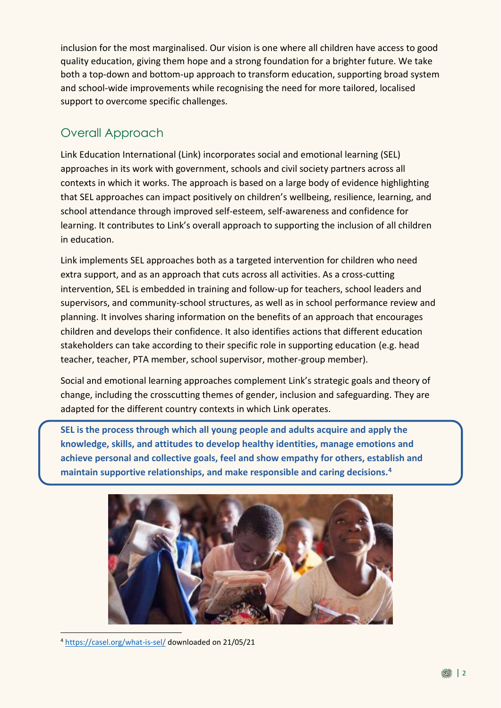inclusion for the most marginalised. Our vision is one where all children have access to good quality education, giving them hope and a strong foundation for a brighter future. We take both a top-down and bottom-up approach to transform education, supporting broad system and school-wide improvements while recognising the need for more tailored, localised support to overcome specific challenges.

## Overall Approach

Link Education International (Link) incorporates social and emotional learning (SEL) approaches in its work with government, schools and civil society partners across all contexts in which it works. The approach is based on a large body of evidence highlighting that SEL approaches can impact positively on children's wellbeing, resilience, learning, and school attendance through improved self-esteem, self-awareness and confidence for learning. It contributes to Link's overall approach to supporting the inclusion of all children in education.

Link implements SEL approaches both as a targeted intervention for children who need extra support, and as an approach that cuts across all activities. As a cross-cutting intervention, SEL is embedded in training and follow-up for teachers, school leaders and supervisors, and community-school structures, as well as in school performance review and planning. It involves sharing information on the benefits of an approach that encourages children and develops their confidence. It also identifies actions that different education stakeholders can take according to their specific role in supporting education (e.g. head teacher, teacher, PTA member, school supervisor, mother-group member).

Social and emotional learning approaches complement Link's strategic goals and theory of change, including the crosscutting themes of gender, inclusion and safeguarding. They are adapted for the different country contexts in which Link operates.

**SEL is the process through which all young people and adults acquire and apply the knowledge, skills, and attitudes to develop healthy identities, manage emotions and achieve personal and collective goals, feel and show empathy for others, establish and maintain supportive relationships, and make responsible and caring decisions.<sup>4</sup>**



<sup>4</sup> <https://casel.org/what-is-sel/> downloaded on 21/05/21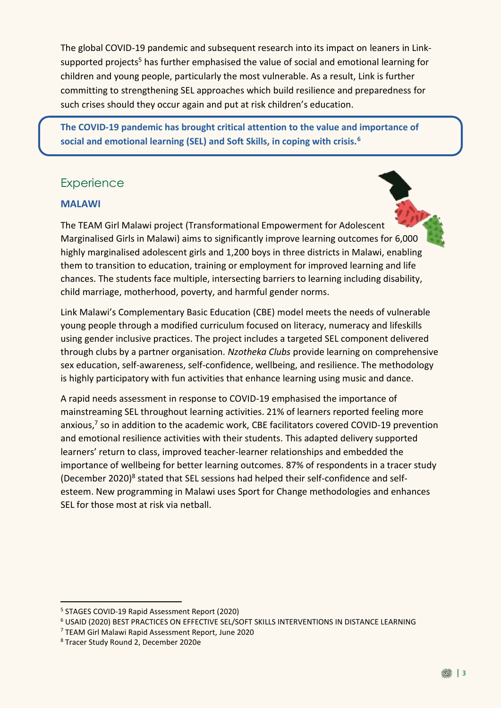The global COVID-19 pandemic and subsequent research into its impact on leaners in Linksupported projects<sup>5</sup> has further emphasised the value of social and emotional learning for children and young people, particularly the most vulnerable. As a result, Link is further committing to strengthening SEL approaches which build resilience and preparedness for such crises should they occur again and put at risk children's education.

**The COVID-19 pandemic has brought critical attention to the value and importance of social and emotional learning (SEL) and Soft Skills, in coping with crisis.<sup>6</sup>**

## **Experience**

### **MALAWI**

The TEAM Girl Malawi project (Transformational Empowerment for Adolescent Marginalised Girls in Malawi) aims to significantly improve learning outcomes for 6,000 highly marginalised adolescent girls and 1,200 boys in three districts in Malawi, enabling them to transition to education, training or employment for improved learning and life chances. The students face multiple, intersecting barriers to learning including disability, child marriage, motherhood, poverty, and harmful gender norms.

Link Malawi's Complementary Basic Education (CBE) model meets the needs of vulnerable young people through a modified curriculum focused on literacy, numeracy and lifeskills using gender inclusive practices. The project includes a targeted SEL component delivered through clubs by a partner organisation. *Nzotheka Clubs* provide learning on comprehensive sex education, self-awareness, self-confidence, wellbeing, and resilience. The methodology is highly participatory with fun activities that enhance learning using music and dance.

A rapid needs assessment in response to COVID-19 emphasised the importance of mainstreaming SEL throughout learning activities. 21% of learners reported feeling more anxious, 7 so in addition to the academic work, CBE facilitators covered COVID-19 prevention and emotional resilience activities with their students. This adapted delivery supported learners' return to class, improved teacher-learner relationships and embedded the importance of wellbeing for better learning outcomes. 87% of respondents in a tracer study (December 2020)<sup>8</sup> stated that SEL sessions had helped their self-confidence and selfesteem. New programming in Malawi uses Sport for Change methodologies and enhances SEL for those most at risk via netball.

<sup>5</sup> STAGES COVID-19 Rapid Assessment Report (2020)

<sup>6</sup> USAID (2020) BEST PRACTICES ON EFFECTIVE SEL/SOFT SKILLS INTERVENTIONS IN DISTANCE LEARNING

<sup>7</sup> TEAM Girl Malawi Rapid Assessment Report, June 2020

<sup>8</sup> Tracer Study Round 2, December 2020e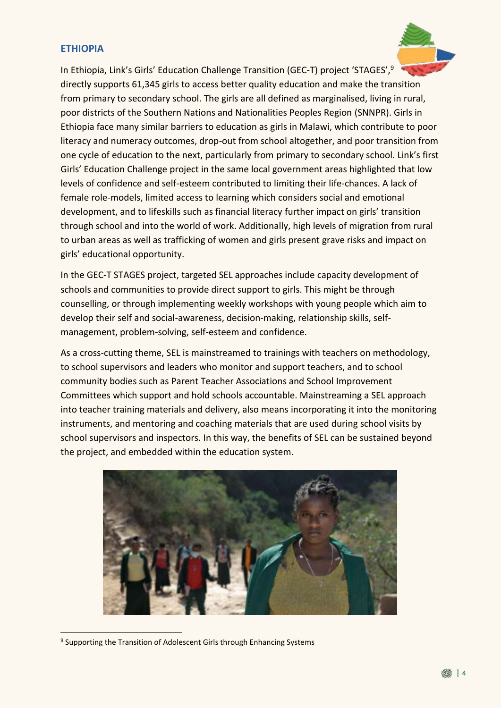#### **ETHIOPIA**



In the GEC-T STAGES project, targeted SEL approaches include capacity development of schools and communities to provide direct support to girls. This might be through counselling, or through implementing weekly workshops with young people which aim to develop their self and social-awareness, decision-making, relationship skills, selfmanagement, problem-solving, self-esteem and confidence.

As a cross-cutting theme, SEL is mainstreamed to trainings with teachers on methodology, to school supervisors and leaders who monitor and support teachers, and to school community bodies such as Parent Teacher Associations and School Improvement Committees which support and hold schools accountable. Mainstreaming a SEL approach into teacher training materials and delivery, also means incorporating it into the monitoring instruments, and mentoring and coaching materials that are used during school visits by school supervisors and inspectors. In this way, the benefits of SEL can be sustained beyond the project, and embedded within the education system.



<sup>&</sup>lt;sup>9</sup> Supporting the Transition of Adolescent Girls through Enhancing Systems